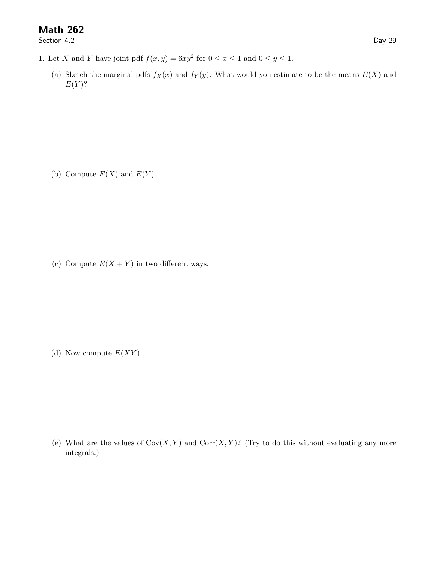## Math 262

Section 4.2 Day 29

- 1. Let X and Y have joint pdf  $f(x, y) = 6xy^2$  for  $0 \le x \le 1$  and  $0 \le y \le 1$ .
	- (a) Sketch the marginal pdfs  $f_X(x)$  and  $f_Y(y)$ . What would you estimate to be the means  $E(X)$  and  $E(Y)$ ?

(b) Compute  $E(X)$  and  $E(Y)$ .

(c) Compute  $E(X + Y)$  in two different ways.

(d) Now compute  $E(XY)$ .

(e) What are the values of  $Cov(X, Y)$  and  $Corr(X, Y)$ ? (Try to do this without evaluating any more integrals.)